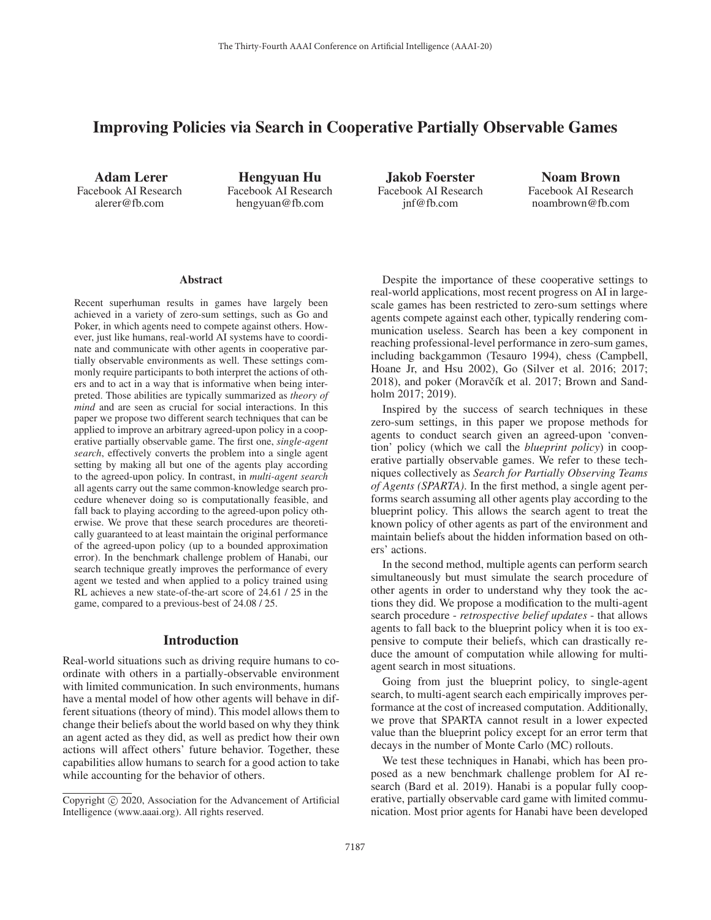# Improving Policies via Search in Cooperative Partially Observable Games

Adam Lerer Facebook AI Research alerer@fb.com

Hengyuan Hu Facebook AI Research hengyuan@fb.com

Jakob Foerster Facebook AI Research jnf@fb.com

Noam Brown Facebook AI Research noambrown@fb.com

#### **Abstract**

Recent superhuman results in games have largely been achieved in a variety of zero-sum settings, such as Go and Poker, in which agents need to compete against others. However, just like humans, real-world AI systems have to coordinate and communicate with other agents in cooperative partially observable environments as well. These settings commonly require participants to both interpret the actions of others and to act in a way that is informative when being interpreted. Those abilities are typically summarized as *theory of mind* and are seen as crucial for social interactions. In this paper we propose two different search techniques that can be applied to improve an arbitrary agreed-upon policy in a cooperative partially observable game. The first one, *single-agent search*, effectively converts the problem into a single agent setting by making all but one of the agents play according to the agreed-upon policy. In contrast, in *multi-agent search* all agents carry out the same common-knowledge search procedure whenever doing so is computationally feasible, and fall back to playing according to the agreed-upon policy otherwise. We prove that these search procedures are theoretically guaranteed to at least maintain the original performance of the agreed-upon policy (up to a bounded approximation error). In the benchmark challenge problem of Hanabi, our search technique greatly improves the performance of every agent we tested and when applied to a policy trained using RL achieves a new state-of-the-art score of 24.61 / 25 in the game, compared to a previous-best of 24.08 / 25.

# Introduction

Real-world situations such as driving require humans to coordinate with others in a partially-observable environment with limited communication. In such environments, humans have a mental model of how other agents will behave in different situations (theory of mind). This model allows them to change their beliefs about the world based on why they think an agent acted as they did, as well as predict how their own actions will affect others' future behavior. Together, these capabilities allow humans to search for a good action to take while accounting for the behavior of others.

Despite the importance of these cooperative settings to real-world applications, most recent progress on AI in largescale games has been restricted to zero-sum settings where agents compete against each other, typically rendering communication useless. Search has been a key component in reaching professional-level performance in zero-sum games, including backgammon (Tesauro 1994), chess (Campbell, Hoane Jr, and Hsu 2002), Go (Silver et al. 2016; 2017; 2018), and poker (Moravčík et al. 2017; Brown and Sandholm 2017; 2019).

Inspired by the success of search techniques in these zero-sum settings, in this paper we propose methods for agents to conduct search given an agreed-upon 'convention' policy (which we call the *blueprint policy*) in cooperative partially observable games. We refer to these techniques collectively as *Search for Partially Observing Teams of Agents (SPARTA)*. In the first method, a single agent performs search assuming all other agents play according to the blueprint policy. This allows the search agent to treat the known policy of other agents as part of the environment and maintain beliefs about the hidden information based on others' actions.

In the second method, multiple agents can perform search simultaneously but must simulate the search procedure of other agents in order to understand why they took the actions they did. We propose a modification to the multi-agent search procedure - *retrospective belief updates* - that allows agents to fall back to the blueprint policy when it is too expensive to compute their beliefs, which can drastically reduce the amount of computation while allowing for multiagent search in most situations.

Going from just the blueprint policy, to single-agent search, to multi-agent search each empirically improves performance at the cost of increased computation. Additionally, we prove that SPARTA cannot result in a lower expected value than the blueprint policy except for an error term that decays in the number of Monte Carlo (MC) rollouts.

We test these techniques in Hanabi, which has been proposed as a new benchmark challenge problem for AI research (Bard et al. 2019). Hanabi is a popular fully cooperative, partially observable card game with limited communication. Most prior agents for Hanabi have been developed

Copyright  $\odot$  2020, Association for the Advancement of Artificial Intelligence (www.aaai.org). All rights reserved.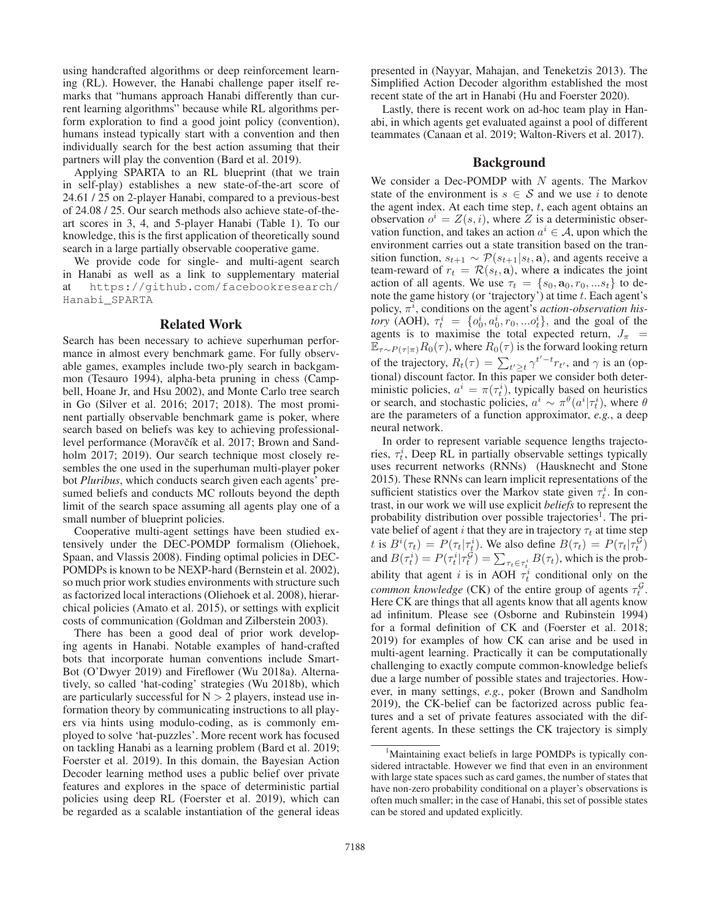using handcrafted algorithms or deep reinforcement learning (RL). However, the Hanabi challenge paper itself remarks that "humans approach Hanabi differently than current learning algorithms" because while RL algorithms perform exploration to find a good joint policy (convention), humans instead typically start with a convention and then individually search for the best action assuming that their partners will play the convention (Bard et al. 2019).

Applying SPARTA to an RL blueprint (that we train in self-play) establishes a new state-of-the-art score of 24.61 / 25 on 2-player Hanabi, compared to a previous-best of 24.08 / 25. Our search methods also achieve state-of-theart scores in 3, 4, and 5-player Hanabi (Table 1). To our knowledge, this is the first application of theoretically sound search in a large partially observable cooperative game.

We provide code for single- and multi-agent search in Hanabi as well as a link to supplementary material at https://github.com/facebookresearch/ Hanabi\_SPARTA

### Related Work

Search has been necessary to achieve superhuman performance in almost every benchmark game. For fully observable games, examples include two-ply search in backgammon (Tesauro 1994), alpha-beta pruning in chess (Campbell, Hoane Jr, and Hsu 2002), and Monte Carlo tree search in Go (Silver et al. 2016; 2017; 2018). The most prominent partially observable benchmark game is poker, where search based on beliefs was key to achieving professionallevel performance (Moravčík et al. 2017; Brown and Sandholm 2017; 2019). Our search technique most closely resembles the one used in the superhuman multi-player poker bot *Pluribus*, which conducts search given each agents' presumed beliefs and conducts MC rollouts beyond the depth limit of the search space assuming all agents play one of a small number of blueprint policies.

Cooperative multi-agent settings have been studied extensively under the DEC-POMDP formalism (Oliehoek, Spaan, and Vlassis 2008). Finding optimal policies in DEC-POMDPs is known to be NEXP-hard (Bernstein et al. 2002), so much prior work studies environments with structure such as factorized local interactions (Oliehoek et al. 2008), hierarchical policies (Amato et al. 2015), or settings with explicit costs of communication (Goldman and Zilberstein 2003).

There has been a good deal of prior work developing agents in Hanabi. Notable examples of hand-crafted bots that incorporate human conventions include Smart-Bot (O'Dwyer 2019) and Fireflower (Wu 2018a). Alternatively, so called 'hat-coding' strategies (Wu 2018b), which are particularly successful for  $N > 2$  players, instead use information theory by communicating instructions to all players via hints using modulo-coding, as is commonly employed to solve 'hat-puzzles'. More recent work has focused on tackling Hanabi as a learning problem (Bard et al. 2019; Foerster et al. 2019). In this domain, the Bayesian Action Decoder learning method uses a public belief over private features and explores in the space of deterministic partial policies using deep RL (Foerster et al. 2019), which can be regarded as a scalable instantiation of the general ideas

presented in (Nayyar, Mahajan, and Teneketzis 2013). The Simplified Action Decoder algorithm established the most recent state of the art in Hanabi (Hu and Foerster 2020).

Lastly, there is recent work on ad-hoc team play in Hanabi, in which agents get evaluated against a pool of different teammates (Canaan et al. 2019; Walton-Rivers et al. 2017).

# Background

We consider a Dec-POMDP with  $N$  agents. The Markov state of the environment is  $s \in S$  and we use i to denote the agent index. At each time step,  $t$ , each agent obtains an observation  $o^i = Z(s, i)$ , where Z is a deterministic observation function, and takes an action  $a^i \in A$ , upon which the environment carries out a state transition based on the transition function,  $s_{t+1} \sim \mathcal{P}(s_{t+1}|s_t, \mathbf{a})$ , and agents receive a team-reward of  $r_t = \mathcal{R}(s_t, \mathbf{a})$ , where **a** indicates the joint action of all agents. We use  $\tau_t = \{s_0, \mathbf{a}_0, r_0, \dots s_t\}$  to denote the game history (or 'trajectory') at time  $t$ . Each agent's policy,  $\pi$ <sup>*i*</sup>, conditions on the agent's *action-observation history* (AOH),  $\tau_t^i = \{o_0^i, a_0^i, r_0, ... o_t^i\}$ , and the goal of the agents is to maximise the total expected return,  $J_{\pi}$  =  $\mathbb{E}_{\tau \sim P(\tau | \pi)} R_0(\tau)$ , where  $R_0(\tau)$  is the forward looking return of the trajectory,  $R_t(\tau) = \sum_{t' \ge t} \gamma^{t'-t} r_{t'}$ , and  $\gamma$  is an (optional) discount factor. In this paper we consider both deterministic policies,  $a^i = \pi(\tau_t^i)$ , typically based on heuristics or search, and stochastic policies,  $a^i \sim \pi^{\theta}(a^i|\tau_t^i)$ , where  $\theta$ are the parameters of a function approximator, *e.g.*, a deep neural network.

In order to represent variable sequence lengths trajectories,  $\tau_t^i$ , Deep RL in partially observable settings typically uses recurrent networks (RNNs) (Hausknecht and Stone 2015). These RNNs can learn implicit representations of the sufficient statistics over the Markov state given  $\tau_t^i$ . In contrast, in our work we will use explicit *beliefs* to represent the probability distribution over possible trajectories<sup>1</sup>. The private belief of agent i that they are in trajectory  $\tau_t$  at time step t is  $B^i(\tau_t) = P(\tau_t | \tau_t^i)$ . We also define  $B(\tau_t) = P(\tau_t | \tau_t^{\mathcal{G}})$ and  $B(\tau_t^i) = P(\tau_t^i | \tau_t^{\mathcal{G}}) = \sum_{\tau_t \in \tau_t^i} B(\tau_t)$ , which is the probability that agent i is in AOH  $\tau_t^i$  conditional only on the *common knowledge* (CK) of the entire group of agents  $\tau_t^{\mathcal{G}}$ . Here CK are things that all agents know that all agents know ad infinitum. Please see (Osborne and Rubinstein 1994) for a formal definition of CK and (Foerster et al. 2018; 2019) for examples of how CK can arise and be used in multi-agent learning. Practically it can be computationally challenging to exactly compute common-knowledge beliefs due a large number of possible states and trajectories. However, in many settings, *e.g.*, poker (Brown and Sandholm 2019), the CK-belief can be factorized across public features and a set of private features associated with the different agents. In these settings the CK trajectory is simply

<sup>&</sup>lt;sup>1</sup>Maintaining exact beliefs in large POMDPs is typically considered intractable. However we find that even in an environment with large state spaces such as card games, the number of states that have non-zero probability conditional on a player's observations is often much smaller; in the case of Hanabi, this set of possible states can be stored and updated explicitly.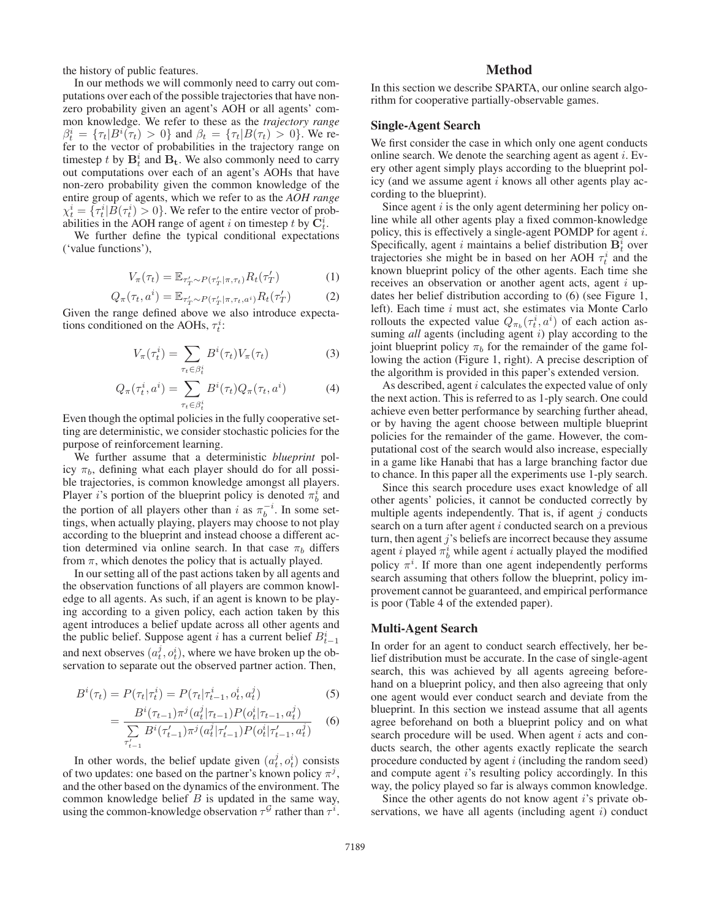the history of public features.

In our methods we will commonly need to carry out computations over each of the possible trajectories that have nonzero probability given an agent's AOH or all agents' common knowledge. We refer to these as the *trajectory range*  $\beta_t^i = {\tau_t | B^i(\tau_t) > 0}$  and  $\beta_t = {\tau_t | B(\tau_t) > 0}$ . We refer to the vector of probabilities in the trajectory range on timestep t by  $\mathbf{B}_t^i$  and  $\mathbf{B}_t$ . We also commonly need to carry out computations over each of an agent's AOHs that have non-zero probability given the common knowledge of the entire group of agents, which we refer to as the *AOH range*  $\chi_t^i = \{\tau_t^i | \overline{B}(\tau_t^i) > 0\}$ . We refer to the entire vector of probabilities in the AOH range of agent *i* on timestep *t* by  $\overline{C}_t^i$ .

We further define the typical conditional expectations ('value functions'),

$$
V_{\pi}(\tau_t) = \mathbb{E}_{\tau'_T \sim P(\tau'_T | \pi, \tau_t)} R_t(\tau'_T)
$$
 (1)

$$
Q_{\pi}(\tau_t, a^i) = \mathbb{E}_{\tau'_T \sim P(\tau'_T | \pi, \tau_t, a^i)} R_t(\tau'_T)
$$
 (2)

Given the range defined above we also introduce expectations conditioned on the AOHs,  $\tau_t^i$ :

$$
V_{\pi}(\tau_t^i) = \sum_{\tau_t \in \beta_t^i} B^i(\tau_t) V_{\pi}(\tau_t)
$$
 (3)

$$
Q_{\pi}(\tau_t^i, a^i) = \sum_{\tau_t \in \beta_t^i} B^i(\tau_t) Q_{\pi}(\tau_t, a^i)
$$
 (4)

Even though the optimal policies in the fully cooperative setting are deterministic, we consider stochastic policies for the purpose of reinforcement learning.

We further assume that a deterministic *blueprint* policy  $\pi_b$ , defining what each player should do for all possible trajectories, is common knowledge amongst all players. Player *i*'s portion of the blueprint policy is denoted  $\pi_b^i$  and the portion of all players other than i as  $\pi_b^{-i}$ . In some settings, when actually playing, players may choose to not play according to the blueprint and instead choose a different action determined via online search. In that case  $\pi_b$  differs from  $\pi$ , which denotes the policy that is actually played.

In our setting all of the past actions taken by all agents and the observation functions of all players are common knowledge to all agents. As such, if an agent is known to be playing according to a given policy, each action taken by this agent introduces a belief update across all other agents and the public belief. Suppose agent *i* has a current belief  $B_{t-1}^i$ and next observes  $(a_t^j, o_t^i)$ , where we have broken up the observation to separate out the observed partner action. Then,

$$
B^{i}(\tau_{t}) = P(\tau_{t}|\tau_{t}^{i}) = P(\tau_{t}|\tau_{t-1}^{i}, o_{t}^{i}, a_{t}^{j})
$$
\n(5)

$$
= \frac{B^i(\tau_{t-1})\pi^j(a_t^j|\tau_{t-1})P(o_t^i|\tau_{t-1}, a_t^j)}{\sum\limits_{\tau_{t-1}'} B^i(\tau_{t-1}')\pi^j(a_t^j|\tau_{t-1}')P(o_t^i|\tau_{t-1}', a_t^j)} \tag{6}
$$

In other words, the belief update given  $(a_t^j, o_t^i)$  consists of two updates: one based on the partner's known policy  $\pi^{j}$ , and the other based on the dynamics of the environment. The common knowledge belief  $B$  is updated in the same way, using the common-knowledge observation  $\tau^{\mathcal{G}}$  rather than  $\tau^{i}$ .

# Method

In this section we describe SPARTA, our online search algorithm for cooperative partially-observable games.

#### Single-Agent Search

We first consider the case in which only one agent conducts online search. We denote the searching agent as agent  $i$ . Every other agent simply plays according to the blueprint policy (and we assume agent  $i$  knows all other agents play according to the blueprint).

Since agent  $i$  is the only agent determining her policy online while all other agents play a fixed common-knowledge policy, this is effectively a single-agent POMDP for agent i. Specifically, agent i maintains a belief distribution  $\mathbf{B}_t^i$  over trajectories she might be in based on her AOH  $\tau_t^i$  and the known blueprint policy of the other agents. Each time she receives an observation or another agent acts, agent i updates her belief distribution according to (6) (see Figure 1, left). Each time i must act, she estimates via Monte Carlo rollouts the expected value  $Q_{\pi_b}(\tau_t^i, a^i)$  of each action assuming *all* agents (including agent *i*) play according to the joint blueprint policy  $\pi_b$  for the remainder of the game following the action (Figure 1, right). A precise description of the algorithm is provided in this paper's extended version.

As described, agent *i* calculates the expected value of only the next action. This is referred to as 1-ply search. One could achieve even better performance by searching further ahead, or by having the agent choose between multiple blueprint policies for the remainder of the game. However, the computational cost of the search would also increase, especially in a game like Hanabi that has a large branching factor due to chance. In this paper all the experiments use 1-ply search.

Since this search procedure uses exact knowledge of all other agents' policies, it cannot be conducted correctly by multiple agents independently. That is, if agent  $j$  conducts search on a turn after agent i conducted search on a previous turn, then agent  $j$ 's beliefs are incorrect because they assume agent *i* played  $\pi_b^i$  while agent *i* actually played the modified policy  $\pi^{i}$ . If more than one agent independently performs search assuming that others follow the blueprint, policy improvement cannot be guaranteed, and empirical performance is poor (Table 4 of the extended paper).

## Multi-Agent Search

In order for an agent to conduct search effectively, her belief distribution must be accurate. In the case of single-agent search, this was achieved by all agents agreeing beforehand on a blueprint policy, and then also agreeing that only one agent would ever conduct search and deviate from the blueprint. In this section we instead assume that all agents agree beforehand on both a blueprint policy and on what search procedure will be used. When agent  $i$  acts and conducts search, the other agents exactly replicate the search procedure conducted by agent  $i$  (including the random seed) and compute agent i's resulting policy accordingly. In this way, the policy played so far is always common knowledge.

Since the other agents do not know agent  $i$ 's private observations, we have all agents (including agent  $i$ ) conduct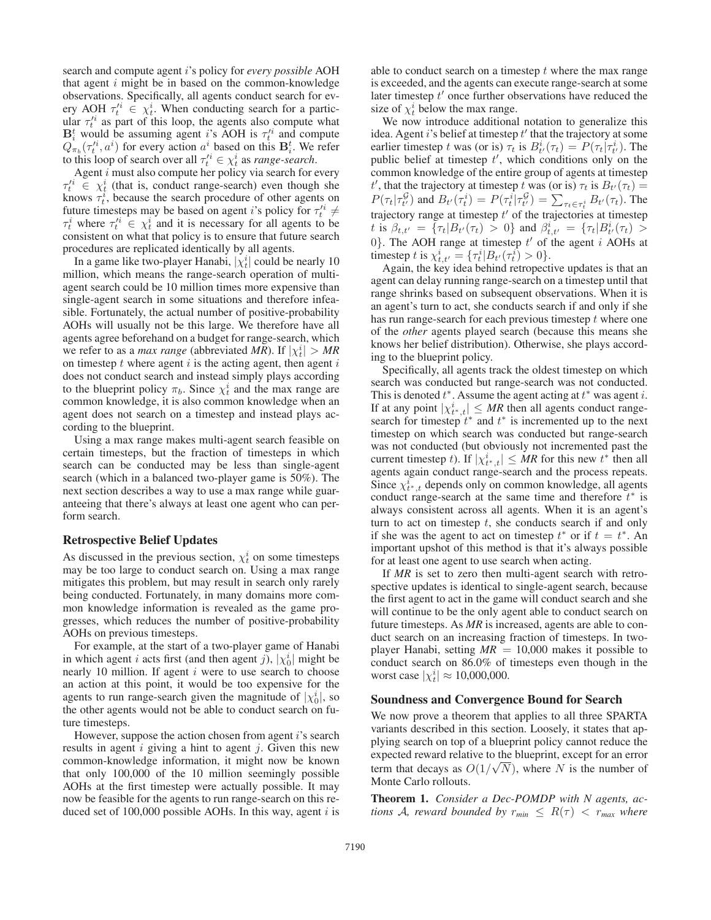search and compute agent i's policy for *every possible* AOH that agent  $i$  might be in based on the common-knowledge observations. Specifically, all agents conduct search for every AOH  $\tau_t^i \in \chi_t^i$ . When conducting search for a particular  $\tau_t^i$  as part of this loop, the agents also compute what  $\mathbf{B}_i^t$  would be assuming agent i's AOH is  $\tau_i^t$  and compute  $Q_{\pi_b}(\tau_t^{i_i}, a^i)$  for every action  $a^i$  based on this  $\mathbf{B}_i^t$ . We refer to this loop of search over all  $\tau_t'^i \in \chi_t^i$  as *range-search*.

Agent  $i$  must also compute her policy via search for every  $\tau'^i_t \in \chi^i_t$  (that is, conduct range-search) even though she knows  $\tau_t^i$ , because the search procedure of other agents on future timesteps may be based on agent *i*'s policy for  $\tau_t^i \neq$  $\tau_t^i$  where  $\tau_t^i \in \chi_t^i$  and it is necessary for all agents to be consistent on what that policy is to ensure that future search procedures are replicated identically by all agents.

In a game like two-player Hanabi,  $|\chi_t^i|$  could be nearly 10 million, which means the range-search operation of multiagent search could be 10 million times more expensive than single-agent search in some situations and therefore infeasible. Fortunately, the actual number of positive-probability AOHs will usually not be this large. We therefore have all agents agree beforehand on a budget for range-search, which we refer to as a *max range* (abbreviated *MR*). If  $|\chi_t^i| > MR$ on timestep  $t$  where agent  $i$  is the acting agent, then agent  $i$ does not conduct search and instead simply plays according to the blueprint policy  $\pi_b$ . Since  $\chi_t^i$  and the max range are common knowledge, it is also common knowledge when an agent does not search on a timestep and instead plays according to the blueprint.

Using a max range makes multi-agent search feasible on certain timesteps, but the fraction of timesteps in which search can be conducted may be less than single-agent search (which in a balanced two-player game is 50%). The next section describes a way to use a max range while guaranteeing that there's always at least one agent who can perform search.

### Retrospective Belief Updates

As discussed in the previous section,  $\chi_t^i$  on some timesteps may be too large to conduct search on. Using a max range mitigates this problem, but may result in search only rarely being conducted. Fortunately, in many domains more common knowledge information is revealed as the game progresses, which reduces the number of positive-probability AOHs on previous timesteps.

For example, at the start of a two-player game of Hanabi in which agent *i* acts first (and then agent *j*),  $|\chi_0^i|$  might be nearly 10 million. If agent  $i$  were to use search to choose an action at this point, it would be too expensive for the agents to run range-search given the magnitude of  $|\chi_0^i|$ , so the other agents would not be able to conduct search on future timesteps.

However, suppose the action chosen from agent  $i$ 's search results in agent  $i$  giving a hint to agent  $j$ . Given this new common-knowledge information, it might now be known that only 100,000 of the 10 million seemingly possible AOHs at the first timestep were actually possible. It may now be feasible for the agents to run range-search on this reduced set of  $100,000$  possible AOHs. In this way, agent i is able to conduct search on a timestep  $t$  where the max range is exceeded, and the agents can execute range-search at some later timestep  $t'$  once further observations have reduced the size of  $\chi_t^i$  below the max range.

We now introduce additional notation to generalize this idea. Agent  $i$ 's belief at timestep  $t'$  that the trajectory at some earlier timestep t was (or is)  $\tau_t$  is  $B_{t'}^i(\tau_t) = P(\tau_t | \tau_{t'}^i)$ . The public belief at timestep  $t'$ , which conditions only on the common knowledge of the entire group of agents at timestep t', that the trajectory at timestep t was (or is)  $\tau_t$  is  $B_{t'}(\tau_t) =$  $P(\tau_t | \tau_{t'}^{\mathcal{G}})$  and  $B_{t'}(\tau_t^i) = P(\tau_t^i | \tau_{t'}^{\mathcal{G}}) = \sum_{\tau_t \in \tau_t^i} B_{t'}(\tau_t)$ . The trajectory range at timestep  $t'$  of the trajectories at timestep t is  $\beta_{t,t'} = {\tau_t | B_{t'}(\tau_t) > 0}$  and  $\beta_{t,t'}^i = {\tau_t | B_{t'}^i(\tau_t) > 0}$ 0}. The AOH range at timestep  $t'$  of the agent i AOHs at timestep t is  $\chi_{t,t'}^i = {\tau_t^i | B_{t'}(\tau_t^i) > 0}.$ 

Again, the key idea behind retropective updates is that an agent can delay running range-search on a timestep until that range shrinks based on subsequent observations. When it is an agent's turn to act, she conducts search if and only if she has run range-search for each previous timestep  $t$  where one of the *other* agents played search (because this means she knows her belief distribution). Otherwise, she plays according to the blueprint policy.

Specifically, all agents track the oldest timestep on which search was conducted but range-search was not conducted. This is denoted  $t^*$ . Assume the agent acting at  $t^*$  was agent i. If at any point  $|\chi^i_{t^*,t}| \le MR$  then all agents conduct rangesearch for timestep  $t^*$  and  $t^*$  is incremented up to the next timestep on which search was conducted but range-search was not conducted (but obviously not incremented past the current timestep t). If  $|\chi^i_{t^*,t}| \le MR$  for this new  $t^*$  then all agents again conduct range-search and the process repeats. Since  $\chi_{t^*,t}^i$  depends only on common knowledge, all agents conduct range-search at the same time and therefore  $t^*$  is always consistent across all agents. When it is an agent's turn to act on timestep  $t$ , she conducts search if and only if she was the agent to act on timestep  $t^*$  or if  $t = t^*$ . An important upshot of this method is that it's always possible for at least one agent to use search when acting.

If *MR* is set to zero then multi-agent search with retrospective updates is identical to single-agent search, because the first agent to act in the game will conduct search and she will continue to be the only agent able to conduct search on future timesteps. As *MR* is increased, agents are able to conduct search on an increasing fraction of timesteps. In twoplayer Hanabi, setting  $MR = 10,000$  makes it possible to conduct search on 86.0% of timesteps even though in the worst case  $|\chi_t^i| \approx 10,000,000$ .

#### Soundness and Convergence Bound for Search

We now prove a theorem that applies to all three SPARTA variants described in this section. Loosely, it states that applying search on top of a blueprint policy cannot reduce the expected reward relative to the blueprint, except for an error term that decays as  $O(1/\sqrt{N})$ , where N is the number of Monte Carlo rollouts.

Theorem 1. *Consider a Dec-POMDP with N agents, actions* A, reward bounded by  $r_{min} \leq R(\tau) < r_{max}$  where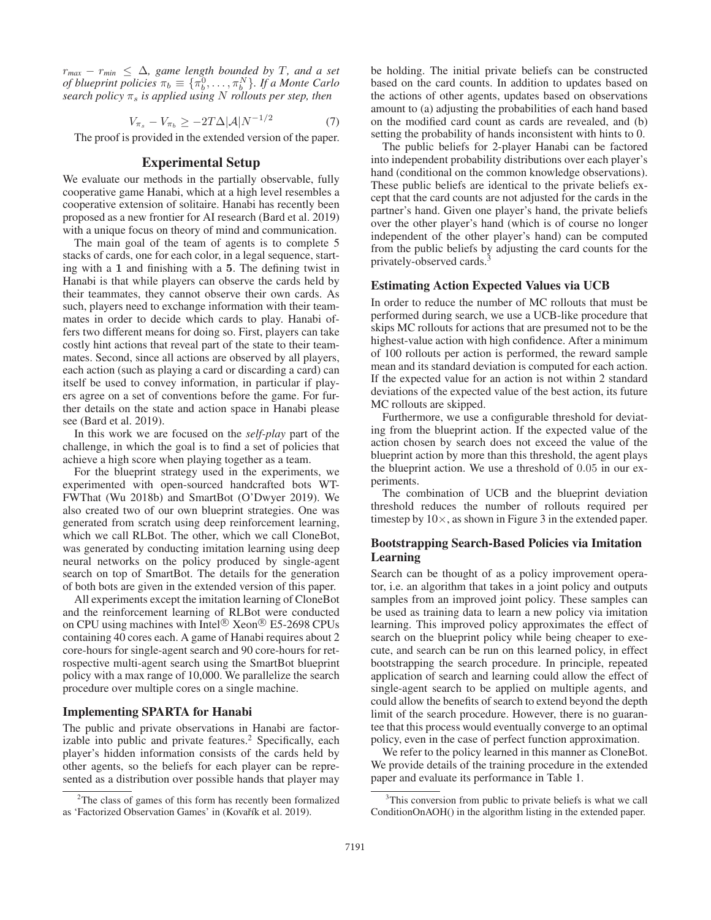$r_{max} - r_{min} \leq \Delta$ , game length bounded by T, and a set *of blueprint policies*  $\pi_b \equiv {\{\pi_b^0, \ldots, \pi_b^N\}}$ *. If a Monte Carlo search policy*  $\pi_s$  *is applied using* N *rollouts per step, then* 

$$
V_{\pi_s} - V_{\pi_b} \ge -2T\Delta |\mathcal{A}| N^{-1/2} \tag{7}
$$

The proof is provided in the extended version of the paper.

# Experimental Setup

We evaluate our methods in the partially observable, fully cooperative game Hanabi, which at a high level resembles a cooperative extension of solitaire. Hanabi has recently been proposed as a new frontier for AI research (Bard et al. 2019) with a unique focus on theory of mind and communication.

The main goal of the team of agents is to complete 5 stacks of cards, one for each color, in a legal sequence, starting with a **1** and finishing with a **5**. The defining twist in Hanabi is that while players can observe the cards held by their teammates, they cannot observe their own cards. As such, players need to exchange information with their teammates in order to decide which cards to play. Hanabi offers two different means for doing so. First, players can take costly hint actions that reveal part of the state to their teammates. Second, since all actions are observed by all players, each action (such as playing a card or discarding a card) can itself be used to convey information, in particular if players agree on a set of conventions before the game. For further details on the state and action space in Hanabi please see (Bard et al. 2019).

In this work we are focused on the *self-play* part of the challenge, in which the goal is to find a set of policies that achieve a high score when playing together as a team.

For the blueprint strategy used in the experiments, we experimented with open-sourced handcrafted bots WT-FWThat (Wu 2018b) and SmartBot (O'Dwyer 2019). We also created two of our own blueprint strategies. One was generated from scratch using deep reinforcement learning, which we call RLBot. The other, which we call CloneBot, was generated by conducting imitation learning using deep neural networks on the policy produced by single-agent search on top of SmartBot. The details for the generation of both bots are given in the extended version of this paper.

All experiments except the imitation learning of CloneBot and the reinforcement learning of RLBot were conducted on CPU using machines with Intel<sup>®</sup> Xeon<sup>®</sup> E5-2698 CPUs containing 40 cores each. A game of Hanabi requires about 2 core-hours for single-agent search and 90 core-hours for retrospective multi-agent search using the SmartBot blueprint policy with a max range of 10,000. We parallelize the search procedure over multiple cores on a single machine.

### Implementing SPARTA for Hanabi

The public and private observations in Hanabi are factorizable into public and private features.<sup>2</sup> Specifically, each player's hidden information consists of the cards held by other agents, so the beliefs for each player can be represented as a distribution over possible hands that player may

be holding. The initial private beliefs can be constructed based on the card counts. In addition to updates based on the actions of other agents, updates based on observations amount to (a) adjusting the probabilities of each hand based on the modified card count as cards are revealed, and (b) setting the probability of hands inconsistent with hints to 0.

The public beliefs for 2-player Hanabi can be factored into independent probability distributions over each player's hand (conditional on the common knowledge observations). These public beliefs are identical to the private beliefs except that the card counts are not adjusted for the cards in the partner's hand. Given one player's hand, the private beliefs over the other player's hand (which is of course no longer independent of the other player's hand) can be computed from the public beliefs by adjusting the card counts for the privately-observed cards.<sup>3</sup>

# Estimating Action Expected Values via UCB

In order to reduce the number of MC rollouts that must be performed during search, we use a UCB-like procedure that skips MC rollouts for actions that are presumed not to be the highest-value action with high confidence. After a minimum of 100 rollouts per action is performed, the reward sample mean and its standard deviation is computed for each action. If the expected value for an action is not within 2 standard deviations of the expected value of the best action, its future MC rollouts are skipped.

Furthermore, we use a configurable threshold for deviating from the blueprint action. If the expected value of the action chosen by search does not exceed the value of the blueprint action by more than this threshold, the agent plays the blueprint action. We use a threshold of 0.05 in our experiments.

The combination of UCB and the blueprint deviation threshold reduces the number of rollouts required per timestep by  $10\times$ , as shown in Figure 3 in the extended paper.

# Bootstrapping Search-Based Policies via Imitation Learning

Search can be thought of as a policy improvement operator, i.e. an algorithm that takes in a joint policy and outputs samples from an improved joint policy. These samples can be used as training data to learn a new policy via imitation learning. This improved policy approximates the effect of search on the blueprint policy while being cheaper to execute, and search can be run on this learned policy, in effect bootstrapping the search procedure. In principle, repeated application of search and learning could allow the effect of single-agent search to be applied on multiple agents, and could allow the benefits of search to extend beyond the depth limit of the search procedure. However, there is no guarantee that this process would eventually converge to an optimal policy, even in the case of perfect function approximation.

We refer to the policy learned in this manner as CloneBot. We provide details of the training procedure in the extended paper and evaluate its performance in Table 1.

<sup>&</sup>lt;sup>2</sup>The class of games of this form has recently been formalized as 'Factorized Observation Games' in (Kovařík et al. 2019).

<sup>&</sup>lt;sup>3</sup>This conversion from public to private beliefs is what we call ConditionOnAOH() in the algorithm listing in the extended paper.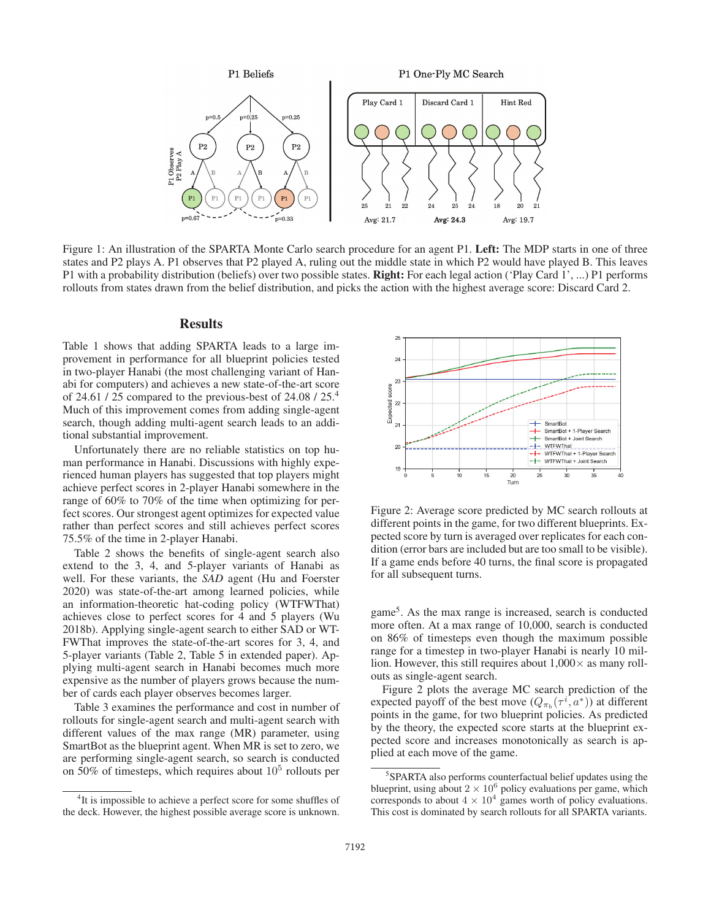

Figure 1: An illustration of the SPARTA Monte Carlo search procedure for an agent P1. Left: The MDP starts in one of three states and P2 plays A. P1 observes that P2 played A, ruling out the middle state in which P2 would have played B. This leaves P1 with a probability distribution (beliefs) over two possible states. Right: For each legal action ('Play Card 1', ...) P1 performs rollouts from states drawn from the belief distribution, and picks the action with the highest average score: Discard Card 2.

# **Results**

Table 1 shows that adding SPARTA leads to a large improvement in performance for all blueprint policies tested in two-player Hanabi (the most challenging variant of Hanabi for computers) and achieves a new state-of-the-art score of 24.61 / 25 compared to the previous-best of 24.08 / 25.4 Much of this improvement comes from adding single-agent search, though adding multi-agent search leads to an additional substantial improvement.

Unfortunately there are no reliable statistics on top human performance in Hanabi. Discussions with highly experienced human players has suggested that top players might achieve perfect scores in 2-player Hanabi somewhere in the range of 60% to 70% of the time when optimizing for perfect scores. Our strongest agent optimizes for expected value rather than perfect scores and still achieves perfect scores 75.5% of the time in 2-player Hanabi.

Table 2 shows the benefits of single-agent search also extend to the 3, 4, and 5-player variants of Hanabi as well. For these variants, the *SAD* agent (Hu and Foerster 2020) was state-of-the-art among learned policies, while an information-theoretic hat-coding policy (WTFWThat) achieves close to perfect scores for 4 and 5 players (Wu 2018b). Applying single-agent search to either SAD or WT-FWThat improves the state-of-the-art scores for 3, 4, and 5-player variants (Table 2, Table 5 in extended paper). Applying multi-agent search in Hanabi becomes much more expensive as the number of players grows because the number of cards each player observes becomes larger.

Table 3 examines the performance and cost in number of rollouts for single-agent search and multi-agent search with different values of the max range (MR) parameter, using SmartBot as the blueprint agent. When MR is set to zero, we are performing single-agent search, so search is conducted on 50% of timesteps, which requires about  $10<sup>5</sup>$  rollouts per



Figure 2: Average score predicted by MC search rollouts at different points in the game, for two different blueprints. Expected score by turn is averaged over replicates for each condition (error bars are included but are too small to be visible). If a game ends before 40 turns, the final score is propagated for all subsequent turns.

game<sup>5</sup>. As the max range is increased, search is conducted more often. At a max range of 10,000, search is conducted on 86% of timesteps even though the maximum possible range for a timestep in two-player Hanabi is nearly 10 million. However, this still requires about  $1,000\times$  as many rollouts as single-agent search.

Figure 2 plots the average MC search prediction of the expected payoff of the best move  $(Q_{\pi_b}(\tau^i, a^*))$  at different points in the game, for two blueprint policies. As predicted by the theory, the expected score starts at the blueprint expected score and increases monotonically as search is applied at each move of the game.

<sup>&</sup>lt;sup>4</sup>It is impossible to achieve a perfect score for some shuffles of the deck. However, the highest possible average score is unknown.

<sup>&</sup>lt;sup>5</sup> SPARTA also performs counterfactual belief updates using the blueprint, using about  $2 \times 10^6$  policy evaluations per game, which corresponds to about  $4 \times 10^4$  games worth of policy evaluations. This cost is dominated by search rollouts for all SPARTA variants.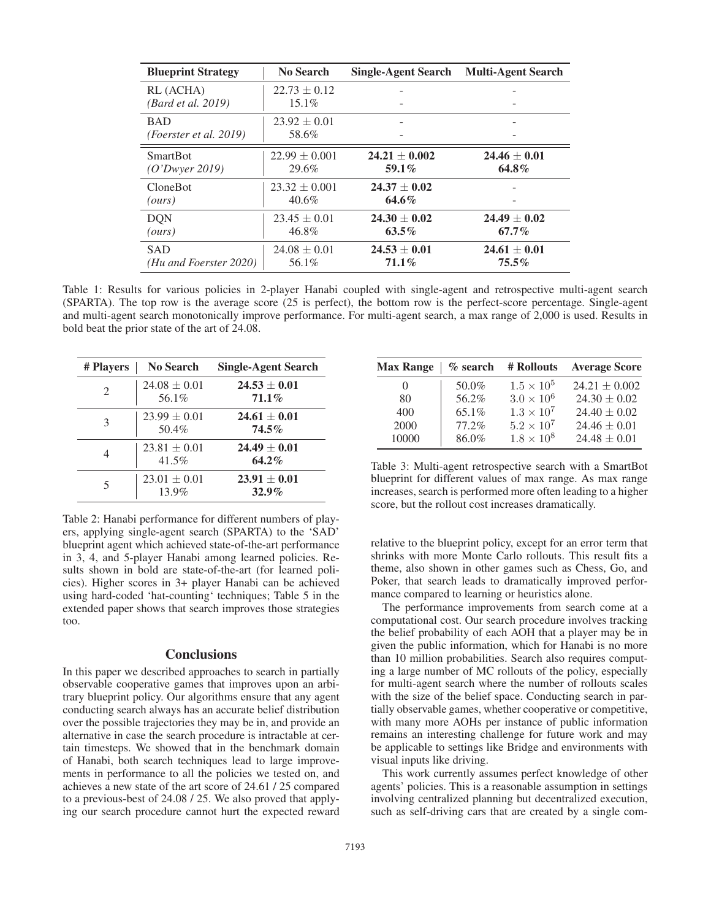| <b>Blueprint Strategy</b> | No Search         | <b>Single-Agent Search</b> | <b>Multi-Agent Search</b> |
|---------------------------|-------------------|----------------------------|---------------------------|
| RL (ACHA)                 | $22.73 \pm 0.12$  |                            |                           |
| <i>(Bard et al. 2019)</i> | $15.1\%$          |                            |                           |
| <b>BAD</b>                | $23.92 \pm 0.01$  |                            |                           |
| (Foerster et al. 2019)    | 58.6%             |                            |                           |
| <b>SmartBot</b>           | $22.99 \pm 0.001$ | $24.21 \pm 0.002$          | $24.46 \pm 0.01$          |
| (O'Dwver 2019)            | 29.6%             | 59.1%                      | $64.8\%$                  |
| <b>CloneBot</b>           | $23.32 \pm 0.001$ | $24.37 \pm 0.02$           |                           |
| (ours)                    | $40.6\%$          | $64.6\%$                   |                           |
| <b>DON</b>                | $23.45 \pm 0.01$  | $24.30 \pm 0.02$           | $24.49 \pm 0.02$          |
| (ours)                    | 46.8%             | $63.5\%$                   | $67.7\%$                  |
| <b>SAD</b>                | $24.08 \pm 0.01$  | $24.53 \pm 0.01$           | $24.61 \pm 0.01$          |
| (Hu and Foerster 2020)    | 56.1%             | $71.1\%$                   | $75.5\%$                  |

Table 1: Results for various policies in 2-player Hanabi coupled with single-agent and retrospective multi-agent search (SPARTA). The top row is the average score (25 is perfect), the bottom row is the perfect-score percentage. Single-agent and multi-agent search monotonically improve performance. For multi-agent search, a max range of 2,000 is used. Results in bold beat the prior state of the art of 24.08.

| # Players      | No Search                 | <b>Single-Agent Search</b>   |
|----------------|---------------------------|------------------------------|
| $\mathfrak{D}$ | $24.08 \pm 0.01$<br>56.1% | $24.53 \pm 0.01$<br>$71.1\%$ |
| 3              | $23.99 \pm 0.01$<br>50.4% | $24.61 \pm 0.01$<br>$74.5\%$ |
|                | $23.81 \pm 0.01$<br>41.5% | $24.49 \pm 0.01$<br>$64.2\%$ |
| 5              | $23.01 \pm 0.01$<br>13.9% | $23.91 \pm 0.01$<br>$32.9\%$ |

Table 2: Hanabi performance for different numbers of players, applying single-agent search (SPARTA) to the 'SAD' blueprint agent which achieved state-of-the-art performance in 3, 4, and 5-player Hanabi among learned policies. Results shown in bold are state-of-the-art (for learned policies). Higher scores in 3+ player Hanabi can be achieved using hard-coded 'hat-counting' techniques; Table 5 in the extended paper shows that search improves those strategies too.

#### **Conclusions**

In this paper we described approaches to search in partially observable cooperative games that improves upon an arbitrary blueprint policy. Our algorithms ensure that any agent conducting search always has an accurate belief distribution over the possible trajectories they may be in, and provide an alternative in case the search procedure is intractable at certain timesteps. We showed that in the benchmark domain of Hanabi, both search techniques lead to large improvements in performance to all the policies we tested on, and achieves a new state of the art score of 24.61 / 25 compared to a previous-best of 24.08 / 25. We also proved that applying our search procedure cannot hurt the expected reward

| <b>Max Range</b> |       | $%$ search # Rollouts | <b>Average Score</b> |
|------------------|-------|-----------------------|----------------------|
| $\theta$         | 50.0% | $1.5 \times 10^5$     | $24.21 \pm 0.002$    |
| 80               | 56.2% | $3.0 \times 10^{6}$   | $24.30 \pm 0.02$     |
| 400              | 65.1% | $1.3 \times 10^7$     | $24.40 \pm 0.02$     |
| 2000             | 77.2% | $5.2 \times 10^7$     | $24.46 \pm 0.01$     |
| 10000            | 86.0% | $1.8 \times 10^{8}$   | $24.48 \pm 0.01$     |

Table 3: Multi-agent retrospective search with a SmartBot blueprint for different values of max range. As max range increases, search is performed more often leading to a higher score, but the rollout cost increases dramatically.

relative to the blueprint policy, except for an error term that shrinks with more Monte Carlo rollouts. This result fits a theme, also shown in other games such as Chess, Go, and Poker, that search leads to dramatically improved performance compared to learning or heuristics alone.

The performance improvements from search come at a computational cost. Our search procedure involves tracking the belief probability of each AOH that a player may be in given the public information, which for Hanabi is no more than 10 million probabilities. Search also requires computing a large number of MC rollouts of the policy, especially for multi-agent search where the number of rollouts scales with the size of the belief space. Conducting search in partially observable games, whether cooperative or competitive, with many more AOHs per instance of public information remains an interesting challenge for future work and may be applicable to settings like Bridge and environments with visual inputs like driving.

This work currently assumes perfect knowledge of other agents' policies. This is a reasonable assumption in settings involving centralized planning but decentralized execution, such as self-driving cars that are created by a single com